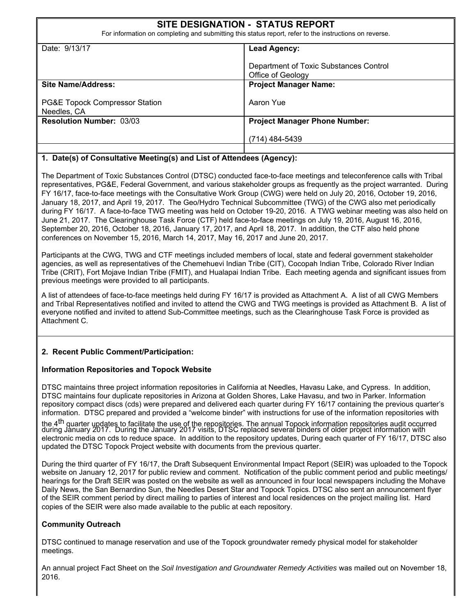| <b>SITE DESIGNATION - STATUS REPORT</b><br>For information on completing and submitting this status report, refer to the instructions on reverse. |                                                             |  |  |  |  |
|---------------------------------------------------------------------------------------------------------------------------------------------------|-------------------------------------------------------------|--|--|--|--|
| Date: 9/13/17                                                                                                                                     | <b>Lead Agency:</b>                                         |  |  |  |  |
|                                                                                                                                                   | Department of Toxic Substances Control<br>Office of Geology |  |  |  |  |
| Site Name/Address:                                                                                                                                | <b>Project Manager Name:</b>                                |  |  |  |  |
| <b>PG&amp;E Topock Compressor Station</b><br>Needles, CA                                                                                          | Aaron Yue                                                   |  |  |  |  |
| <b>Resolution Number: 03/03</b>                                                                                                                   | <b>Project Manager Phone Number:</b>                        |  |  |  |  |
|                                                                                                                                                   | (714) 484-5439                                              |  |  |  |  |
|                                                                                                                                                   |                                                             |  |  |  |  |

#### **1. Date(s) of Consultative Meeting(s) and List of Attendees (Agency):**

The Department of Toxic Substances Control (DTSC) conducted face-to-face meetings and teleconference calls with Tribal representatives, PG&E, Federal Government, and various stakeholder groups as frequently as the project warranted. During FY 16/17, face-to-face meetings with the Consultative Work Group (CWG) were held on July 20, 2016, October 19, 2016, January 18, 2017, and April 19, 2017. The Geo/Hydro Technical Subcommittee (TWG) of the CWG also met periodically during FY 16/17. A face-to-face TWG meeting was held on October 19-20, 2016. A TWG webinar meeting was also held on June 21, 2017. The Clearinghouse Task Force (CTF) held face-to-face meetings on July 19, 2016, August 16, 2016, September 20, 2016, October 18, 2016, January 17, 2017, and April 18, 2017. In addition, the CTF also held phone conferences on November 15, 2016, March 14, 2017, May 16, 2017 and June 20, 2017.

Participants at the CWG, TWG and CTF meetings included members of local, state and federal government stakeholder agencies, as well as representatives of the Chemehuevi Indian Tribe (CIT), Cocopah Indian Tribe, Colorado River Indian Tribe (CRIT), Fort Mojave Indian Tribe (FMIT), and Hualapai Indian Tribe. Each meeting agenda and significant issues from previous meetings were provided to all participants.

A list of attendees of face-to-face meetings held during FY 16/17 is provided as Attachment A. A list of all CWG Members and Tribal Representatives notified and invited to attend the CWG and TWG meetings is provided as Attachment B. A list of everyone notified and invited to attend Sub-Committee meetings, such as the Clearinghouse Task Force is provided as Attachment C.

#### **2. Recent Public Comment/Participation:**

#### **Information Repositories and Topock Website**

DTSC maintains three project information repositories in California at Needles, Havasu Lake, and Cypress. In addition, DTSC maintains four duplicate repositories in Arizona at Golden Shores, Lake Havasu, and two in Parker. Information repository compact discs (cds) were prepared and delivered each quarter during FY 16/17 containing the previous quarter's information. DTSC prepared and provided a "welcome binder" with instructions for use of the information repositories with

the 4<sup>th</sup> quarter updates to facilitate the use of the repositories. The annual Topock information repositories audit occurred<br>during January 2017. During the January 2017 visits, DTSC replaced several binders of older pr electronic media on cds to reduce space. In addition to the repository updates, During each quarter of FY 16/17, DTSC also updated the DTSC Topock Project website with documents from the previous quarter.

During the third quarter of FY 16/17, the Draft Subsequent Environmental Impact Report (SEIR) was uploaded to the Topock website on January 12, 2017 for public review and comment. Notification of the public comment period and public meetings/ hearings for the Draft SEIR was posted on the website as well as announced in four local newspapers including the Mohave Daily News, the San Bernardino Sun, the Needles Desert Star and Topock Topics. DTSC also sent an announcement flyer of the SEIR comment period by direct mailing to parties of interest and local residences on the project mailing list. Hard copies of the SEIR were also made available to the public at each repository.

#### **Community Outreach**

DTSC continued to manage reservation and use of the Topock groundwater remedy physical model for stakeholder meetings.

An annual project Fact Sheet on the *Soil Investigation and Groundwater Remedy Activities* was mailed out on November 18, 2016.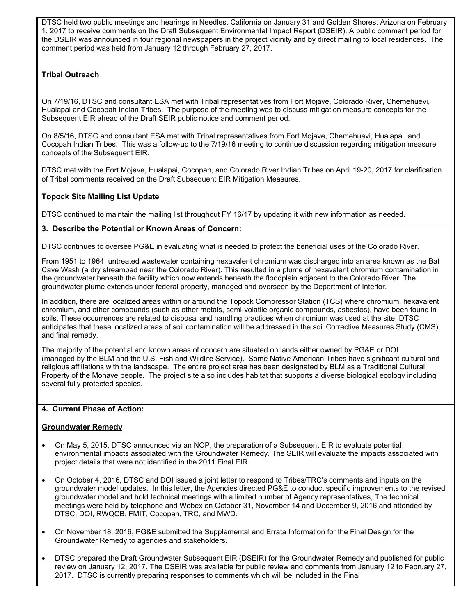DTSC held two public meetings and hearings in Needles, California on January 31 and Golden Shores, Arizona on February 1, 2017 to receive comments on the Draft Subsequent Environmental Impact Report (DSEIR). A public comment period for the DSEIR was announced in four regional newspapers in the project vicinity and by direct mailing to local residences. The comment period was held from January 12 through February 27, 2017.

#### **Tribal Outreach**

On 7/19/16, DTSC and consultant ESA met with Tribal representatives from Fort Mojave, Colorado River, Chemehuevi, Hualapai and Cocopah Indian Tribes. The purpose of the meeting was to discuss mitigation measure concepts for the Subsequent EIR ahead of the Draft SEIR public notice and comment period.

On 8/5/16, DTSC and consultant ESA met with Tribal representatives from Fort Mojave, Chemehuevi, Hualapai, and Cocopah Indian Tribes. This was a follow-up to the 7/19/16 meeting to continue discussion regarding mitigation measure concepts of the Subsequent EIR.

DTSC met with the Fort Mojave, Hualapai, Cocopah, and Colorado River Indian Tribes on April 19-20, 2017 for clarification of Tribal comments received on the Draft Subsequent EIR Mitigation Measures.

#### **Topock Site Mailing List Update**

DTSC continued to maintain the mailing list throughout FY 16/17 by updating it with new information as needed.

#### **3. Describe the Potential or Known Areas of Concern:**

DTSC continues to oversee PG&E in evaluating what is needed to protect the beneficial uses of the Colorado River.

From 1951 to 1964, untreated wastewater containing hexavalent chromium was discharged into an area known as the Bat Cave Wash (a dry streambed near the Colorado River). This resulted in a plume of hexavalent chromium contamination in the groundwater beneath the facility which now extends beneath the floodplain adjacent to the Colorado River. The groundwater plume extends under federal property, managed and overseen by the Department of Interior.

In addition, there are localized areas within or around the Topock Compressor Station (TCS) where chromium, hexavalent chromium, and other compounds (such as other metals, semi-volatile organic compounds, asbestos), have been found in soils. These occurrences are related to disposal and handling practices when chromium was used at the site. DTSC anticipates that these localized areas of soil contamination will be addressed in the soil Corrective Measures Study (CMS) and final remedy.

The majority of the potential and known areas of concern are situated on lands either owned by PG&E or DOI (managed by the BLM and the U.S. Fish and Wildlife Service). Some Native American Tribes have significant cultural and religious affiliations with the landscape. The entire project area has been designated by BLM as a Traditional Cultural Property of the Mohave people. The project site also includes habitat that supports a diverse biological ecology including several fully protected species.

#### **4. Current Phase of Action:**

#### **Groundwater Remedy**

- On May 5, 2015, DTSC announced via an NOP, the preparation of a Subsequent EIR to evaluate potential environmental impacts associated with the Groundwater Remedy. The SEIR will evaluate the impacts associated with project details that were not identified in the 2011 Final EIR.
- On October 4, 2016, DTSC and DOI issued a joint letter to respond to Tribes/TRC's comments and inputs on the groundwater model updates. In this letter, the Agencies directed PG&E to conduct specific improvements to the revised groundwater model and hold technical meetings with a limited number of Agency representatives, The technical meetings were held by telephone and Webex on October 31, November 14 and December 9, 2016 and attended by DTSC, DOI, RWQCB, FMIT, Cocopah, TRC, and MWD.
- On November 18, 2016, PG&E submitted the Supplemental and Errata Information for the Final Design for the Groundwater Remedy to agencies and stakeholders.
- DTSC prepared the Draft Groundwater Subsequent EIR (DSEIR) for the Groundwater Remedy and published for public review on January 12, 2017. The DSEIR was available for public review and comments from January 12 to February 27, 2017. DTSC is currently preparing responses to comments which will be included in the Final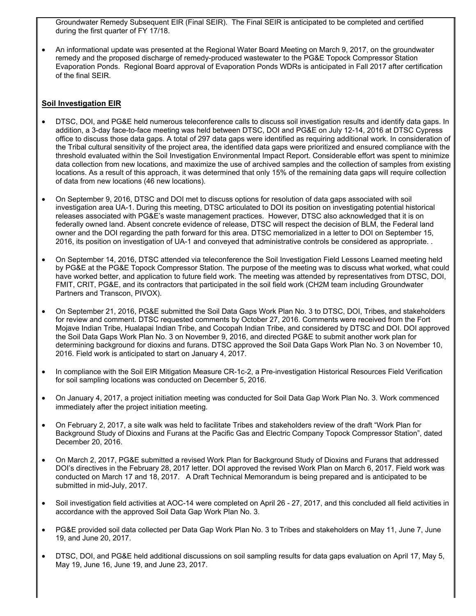Groundwater Remedy Subsequent EIR (Final SEIR). The Final SEIR is anticipated to be completed and certified during the first quarter of FY 17/18.

• An informational update was presented at the Regional Water Board Meeting on March 9, 2017, on the groundwater remedy and the proposed discharge of remedy-produced wastewater to the PG&E Topock Compressor Station Evaporation Ponds. Regional Board approval of Evaporation Ponds WDRs is anticipated in Fall 2017 after certification of the final SEIR.

#### **Soil Investigation EIR**

- DTSC, DOI, and PG&E held numerous teleconference calls to discuss soil investigation results and identify data gaps. In addition, a 3-day face-to-face meeting was held between DTSC, DOI and PG&E on July 12-14, 2016 at DTSC Cypress office to discuss those data gaps. A total of 297 data gaps were identified as requiring additional work. In consideration of the Tribal cultural sensitivity of the project area, the identified data gaps were prioritized and ensured compliance with the threshold evaluated within the Soil Investigation Environmental Impact Report. Considerable effort was spent to minimize data collection from new locations, and maximize the use of archived samples and the collection of samples from existing locations. As a result of this approach, it was determined that only 15% of the remaining data gaps will require collection of data from new locations (46 new locations).
- On September 9, 2016, DTSC and DOI met to discuss options for resolution of data gaps associated with soil investigation area UA-1. During this meeting, DTSC articulated to DOI its position on investigating potential historical releases associated with PG&E's waste management practices. However, DTSC also acknowledged that it is on federally owned land. Absent concrete evidence of release, DTSC will respect the decision of BLM, the Federal land owner and the DOI regarding the path forward for this area. DTSC memorialized in a letter to DOI on September 15, 2016, its position on investigation of UA-1 and conveyed that administrative controls be considered as appropriate. .
- On September 14, 2016, DTSC attended via teleconference the Soil Investigation Field Lessons Learned meeting held by PG&E at the PG&E Topock Compressor Station. The purpose of the meeting was to discuss what worked, what could have worked better, and application to future field work. The meeting was attended by representatives from DTSC, DOI, FMIT, CRIT, PG&E, and its contractors that participated in the soil field work (CH2M team including Groundwater Partners and Transcon, PIVOX).
- On September 21, 2016, PG&E submitted the Soil Data Gaps Work Plan No. 3 to DTSC, DOI, Tribes, and stakeholders for review and comment. DTSC requested comments by October 27, 2016. Comments were received from the Fort Mojave Indian Tribe, Hualapai Indian Tribe, and Cocopah Indian Tribe, and considered by DTSC and DOI. DOI approved the Soil Data Gaps Work Plan No. 3 on November 9, 2016, and directed PG&E to submit another work plan for determining background for dioxins and furans. DTSC approved the Soil Data Gaps Work Plan No. 3 on November 10, 2016. Field work is anticipated to start on January 4, 2017.
- In compliance with the Soil EIR Mitigation Measure CR-1c-2, a Pre-investigation Historical Resources Field Verification for soil sampling locations was conducted on December 5, 2016.
- On January 4, 2017, a project initiation meeting was conducted for Soil Data Gap Work Plan No. 3. Work commenced immediately after the project initiation meeting.
- On February 2, 2017, a site walk was held to facilitate Tribes and stakeholders review of the draft "Work Plan for Background Study of Dioxins and Furans at the Pacific Gas and Electric Company Topock Compressor Station", dated December 20, 2016.
- On March 2, 2017, PG&E submitted a revised Work Plan for Background Study of Dioxins and Furans that addressed DOI's directives in the February 28, 2017 letter. DOI approved the revised Work Plan on March 6, 2017. Field work was conducted on March 17 and 18, 2017. A Draft Technical Memorandum is being prepared and is anticipated to be submitted in mid-July, 2017.
- Soil investigation field activities at AOC-14 were completed on April 26 27, 2017, and this concluded all field activities in accordance with the approved Soil Data Gap Work Plan No. 3.
- PG&E provided soil data collected per Data Gap Work Plan No. 3 to Tribes and stakeholders on May 11, June 7, June 19, and June 20, 2017.
- DTSC, DOI, and PG&E held additional discussions on soil sampling results for data gaps evaluation on April 17, May 5, May 19, June 16, June 19, and June 23, 2017.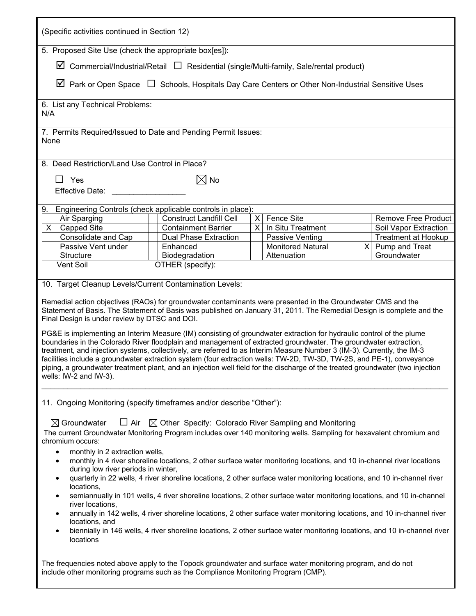| (Specific activities continued in Section 12)                                                                                                                                                                                                                                                                                                                                                                                                                                                                                                                                                                                                                                                                                                                                                                                                                                                                                                                                                                 |                                                            |          |                          |  |                            |  |  |
|---------------------------------------------------------------------------------------------------------------------------------------------------------------------------------------------------------------------------------------------------------------------------------------------------------------------------------------------------------------------------------------------------------------------------------------------------------------------------------------------------------------------------------------------------------------------------------------------------------------------------------------------------------------------------------------------------------------------------------------------------------------------------------------------------------------------------------------------------------------------------------------------------------------------------------------------------------------------------------------------------------------|------------------------------------------------------------|----------|--------------------------|--|----------------------------|--|--|
| 5. Proposed Site Use (check the appropriate box[es]):                                                                                                                                                                                                                                                                                                                                                                                                                                                                                                                                                                                                                                                                                                                                                                                                                                                                                                                                                         |                                                            |          |                          |  |                            |  |  |
| $\boxtimes$ Commercial/Industrial/Retail $\Box$ Residential (single/Multi-family, Sale/rental product)                                                                                                                                                                                                                                                                                                                                                                                                                                                                                                                                                                                                                                                                                                                                                                                                                                                                                                        |                                                            |          |                          |  |                            |  |  |
| $\boxtimes$ Park or Open Space $\Box$ Schools, Hospitals Day Care Centers or Other Non-Industrial Sensitive Uses                                                                                                                                                                                                                                                                                                                                                                                                                                                                                                                                                                                                                                                                                                                                                                                                                                                                                              |                                                            |          |                          |  |                            |  |  |
| 6. List any Technical Problems:<br>N/A                                                                                                                                                                                                                                                                                                                                                                                                                                                                                                                                                                                                                                                                                                                                                                                                                                                                                                                                                                        |                                                            |          |                          |  |                            |  |  |
| 7. Permits Required/Issued to Date and Pending Permit Issues:<br>None                                                                                                                                                                                                                                                                                                                                                                                                                                                                                                                                                                                                                                                                                                                                                                                                                                                                                                                                         |                                                            |          |                          |  |                            |  |  |
| 8. Deed Restriction/Land Use Control in Place?                                                                                                                                                                                                                                                                                                                                                                                                                                                                                                                                                                                                                                                                                                                                                                                                                                                                                                                                                                |                                                            |          |                          |  |                            |  |  |
| $\Box$ Yes                                                                                                                                                                                                                                                                                                                                                                                                                                                                                                                                                                                                                                                                                                                                                                                                                                                                                                                                                                                                    | $\boxtimes$ No                                             |          |                          |  |                            |  |  |
| <b>Effective Date:</b>                                                                                                                                                                                                                                                                                                                                                                                                                                                                                                                                                                                                                                                                                                                                                                                                                                                                                                                                                                                        |                                                            |          |                          |  |                            |  |  |
| 9.                                                                                                                                                                                                                                                                                                                                                                                                                                                                                                                                                                                                                                                                                                                                                                                                                                                                                                                                                                                                            | Engineering Controls (check applicable controls in place): |          |                          |  |                            |  |  |
| Air Sparging                                                                                                                                                                                                                                                                                                                                                                                                                                                                                                                                                                                                                                                                                                                                                                                                                                                                                                                                                                                                  | <b>Construct Landfill Cell</b>                             | $\times$ | <b>Fence Site</b>        |  | <b>Remove Free Product</b> |  |  |
| <b>Capped Site</b><br>X.                                                                                                                                                                                                                                                                                                                                                                                                                                                                                                                                                                                                                                                                                                                                                                                                                                                                                                                                                                                      | <b>Containment Barrier</b>                                 | X        | In Situ Treatment        |  | Soil Vapor Extraction      |  |  |
| Consolidate and Cap                                                                                                                                                                                                                                                                                                                                                                                                                                                                                                                                                                                                                                                                                                                                                                                                                                                                                                                                                                                           | <b>Dual Phase Extraction</b>                               |          | Passive Venting          |  | <b>Treatment at Hookup</b> |  |  |
| Passive Vent under                                                                                                                                                                                                                                                                                                                                                                                                                                                                                                                                                                                                                                                                                                                                                                                                                                                                                                                                                                                            | Enhanced                                                   |          | <b>Monitored Natural</b> |  | $X$ Pump and Treat         |  |  |
| Structure                                                                                                                                                                                                                                                                                                                                                                                                                                                                                                                                                                                                                                                                                                                                                                                                                                                                                                                                                                                                     | Biodegradation                                             |          | Attenuation              |  | Groundwater                |  |  |
| Vent Soil                                                                                                                                                                                                                                                                                                                                                                                                                                                                                                                                                                                                                                                                                                                                                                                                                                                                                                                                                                                                     | OTHER (specify):                                           |          |                          |  |                            |  |  |
| 10. Target Cleanup Levels/Current Contamination Levels:<br>Remedial action objectives (RAOs) for groundwater contaminants were presented in the Groundwater CMS and the<br>Statement of Basis. The Statement of Basis was published on January 31, 2011. The Remedial Design is complete and the<br>Final Design is under review by DTSC and DOI.<br>PG&E is implementing an Interim Measure (IM) consisting of groundwater extraction for hydraulic control of the plume<br>boundaries in the Colorado River floodplain and management of extracted groundwater. The groundwater extraction,<br>treatment, and injection systems, collectively, are referred to as Interim Measure Number 3 (IM-3). Currently, the IM-3<br>facilities include a groundwater extraction system (four extraction wells: TW-2D, TW-2D, TW-2S, and PE-1), conveyance<br>piping, a groundwater treatment plant, and an injection well field for the discharge of the treated groundwater (two injection<br>wells: IW-2 and IW-3). |                                                            |          |                          |  |                            |  |  |
| 11. Ongoing Monitoring (specify timeframes and/or describe "Other"):<br>$\Box$ Air<br>$\boxtimes$ Groundwater<br>$\boxtimes$ Other Specify: Colorado River Sampling and Monitoring<br>The current Groundwater Monitoring Program includes over 140 monitoring wells. Sampling for hexavalent chromium and<br>chromium occurs:<br>monthly in 2 extraction wells,<br>$\bullet$<br>monthly in 4 river shoreline locations, 2 other surface water monitoring locations, and 10 in-channel river locations<br>٠<br>during low river periods in winter,<br>quarterly in 22 wells, 4 river shoreline locations, 2 other surface water monitoring locations, and 10 in-channel river<br>٠<br>locations,<br>semiannually in 101 wells, 4 river shoreline locations, 2 other surface water monitoring locations, and 10 in-channel<br>٠                                                                                                                                                                                 |                                                            |          |                          |  |                            |  |  |
| river locations,<br>annually in 142 wells, 4 river shoreline locations, 2 other surface water monitoring locations, and 10 in-channel river<br>$\bullet$<br>locations, and<br>biennially in 146 wells, 4 river shoreline locations, 2 other surface water monitoring locations, and 10 in-channel river<br>٠<br>locations<br>The frequencies noted above apply to the Topock groundwater and surface water monitoring program, and do not<br>include other monitoring programs such as the Compliance Monitoring Program (CMP).                                                                                                                                                                                                                                                                                                                                                                                                                                                                               |                                                            |          |                          |  |                            |  |  |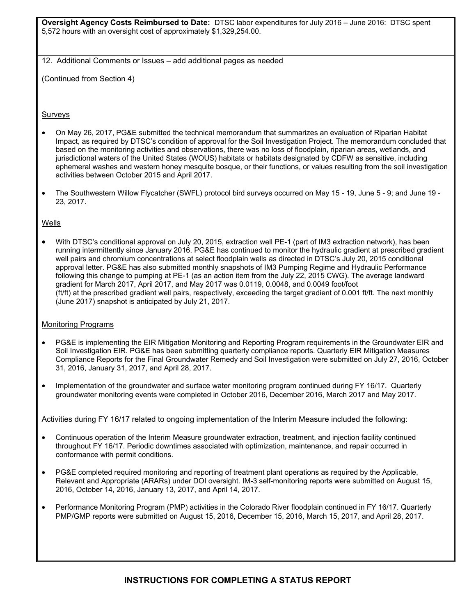**Oversight Agency Costs Reimbursed to Date:** DTSC labor expenditures for July 2016 – June 2016: DTSC spent 5,572 hours with an oversight cost of approximately \$1,329,254.00.

12. Additional Comments or Issues – add additional pages as needed

(Continued from Section 4)

#### Surveys

- On May 26, 2017, PG&E submitted the technical memorandum that summarizes an evaluation of Riparian Habitat Impact, as required by DTSC's condition of approval for the Soil Investigation Project. The memorandum concluded that based on the monitoring activities and observations, there was no loss of floodplain, riparian areas, wetlands, and jurisdictional waters of the United States (WOUS) habitats or habitats designated by CDFW as sensitive, including ephemeral washes and western honey mesquite bosque, or their functions, or values resulting from the soil investigation activities between October 2015 and April 2017.
- The Southwestern Willow Flycatcher (SWFL) protocol bird surveys occurred on May 15 19, June 5 9; and June 19 23, 2017.

#### Wells

• With DTSC's conditional approval on July 20, 2015, extraction well PE-1 (part of IM3 extraction network), has been running intermittently since January 2016. PG&E has continued to monitor the hydraulic gradient at prescribed gradient well pairs and chromium concentrations at select floodplain wells as directed in DTSC's July 20, 2015 conditional approval letter. PG&E has also submitted monthly snapshots of IM3 Pumping Regime and Hydraulic Performance following this change to pumping at PE-1 (as an action item from the July 22, 2015 CWG). The average landward gradient for March 2017, April 2017, and May 2017 was 0.0119, 0.0048, and 0.0049 foot/foot (ft/ft) at the prescribed gradient well pairs, respectively, exceeding the target gradient of 0.001 ft/ft. The next monthly (June 2017) snapshot is anticipated by July 21, 2017.

#### Monitoring Programs

- PG&E is implementing the EIR Mitigation Monitoring and Reporting Program requirements in the Groundwater EIR and Soil Investigation EIR. PG&E has been submitting quarterly compliance reports. Quarterly EIR Mitigation Measures Compliance Reports for the Final Groundwater Remedy and Soil Investigation were submitted on July 27, 2016, October 31, 2016, January 31, 2017, and April 28, 2017.
- Implementation of the groundwater and surface water monitoring program continued during FY 16/17. Quarterly groundwater monitoring events were completed in October 2016, December 2016, March 2017 and May 2017.

Activities during FY 16/17 related to ongoing implementation of the Interim Measure included the following:

- Continuous operation of the Interim Measure groundwater extraction, treatment, and injection facility continued throughout FY 16/17. Periodic downtimes associated with optimization, maintenance, and repair occurred in conformance with permit conditions.
- PG&E completed required monitoring and reporting of treatment plant operations as required by the Applicable, Relevant and Appropriate (ARARs) under DOI oversight. IM-3 self-monitoring reports were submitted on August 15, 2016, October 14, 2016, January 13, 2017, and April 14, 2017.
- Performance Monitoring Program (PMP) activities in the Colorado River floodplain continued in FY 16/17. Quarterly PMP/GMP reports were submitted on August 15, 2016, December 15, 2016, March 15, 2017, and April 28, 2017.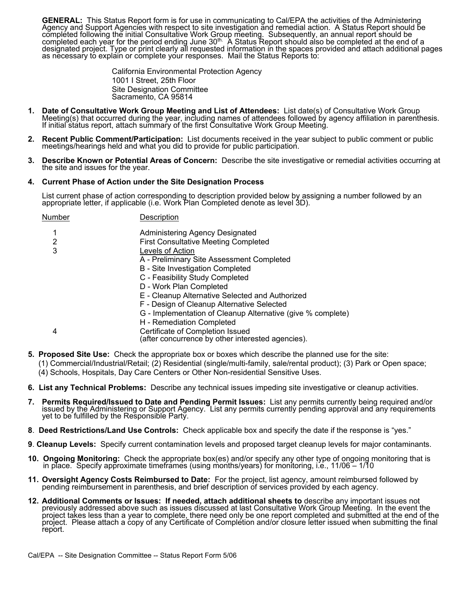**GENERAL:** This Status Report form is for use in communicating to Cal/EPA the activities of the Administering Agency and Support Agencies with respect to site investigation and remedial action. A Status Report should be c

California Environmental Protection Agency 1001 I Street, 25th Floor Site Designation Committee Sacramento, CA 95814

- 1. Date of Consultative Work Group Meeting and List of Attendees: List date(s) of Consultative Work Group<br>Meeting(s) that occurred during the year, including names of attendees followed by agency affiliation in parenthesis If initial status report, attach summary of the first Consultative Work Group Meeting.
- **2. Recent Public Comment/Participation:** List documents received in the year subject to public comment or public meetings/hearings held and what you did to provide for public participation.
- **3. Describe Known or Potential Areas of Concern:** Describe the site investigative or remedial activities occurring at the site and issues for the year.

#### **4. Current Phase of Action under the Site Designation Process**

List current phase of action corresponding to description provided below by assigning a number followed by an appropriate letter, if applicable (i.e. Work Plan Completed denote as level 3D).

Number Description

- 1 Administering Agency Designated 2 First Consultative Meeting Completed
- 3 Levels of Action
	- A Preliminary Site Assessment Completed
		- B Site Investigation Completed
		- C Feasibility Study Completed
		- D Work Plan Completed
		- E Cleanup Alternative Selected and Authorized
		- F Design of Cleanup Alternative Selected
		- G Implementation of Cleanup Alternative (give % complete)
	- H Remediation Completed
- 4 Certificate of Completion Issued

(after concurrence by other interested agencies).

- **5. Proposed Site Use:** Check the appropriate box or boxes which describe the planned use for the site:
	- (1) Commercial/Industrial/Retail; (2) Residential (single/multi-family, sale/rental product); (3) Park or Open space;
	- (4) Schools, Hospitals, Day Care Centers or Other Non-residential Sensitive Uses.
- **6. List any Technical Problems:** Describe any technical issues impeding site investigative or cleanup activities.
- **7. Permits Required/Issued to Date and Pending Permit Issues:** List any permits currently being required and/or issued by the Administering or Support Agency. List any permits currently pending approval and any requirements yet to be fulfilled by the Responsible Party.
- **8**. **Deed Restrictions/Land Use Controls:** Check applicable box and specify the date if the response is "yes."
- **9**. **Cleanup Levels:** Specify current contamination levels and proposed target cleanup levels for major contaminants.
- **10. Ongoing Monitoring:** Check the appropriate box(es) and/or specify any other type of ongoing monitoring that is<br>in place. Specify approximate timeframes (using months/years) for monitoring, i.e., 11/06 1/10
- **11. Oversight Agency Costs Reimbursed to Date:** For the project, list agency, amount reimbursed followed by pending reimbursement in parenthesis, and brief description of services provided by each agency.
- **12. Additional Comments or Issues: If needed, attach additional sheets to** describe any important issues not previously addressed above such as issues discussed at last Consultative Work Group Meeting. In the event the project takes less than a year to complete, there need only be one report completed and submitted at the end of the project. Please attach a copy of any Certificate of Completion and/or closure letter issued when submitting the final report.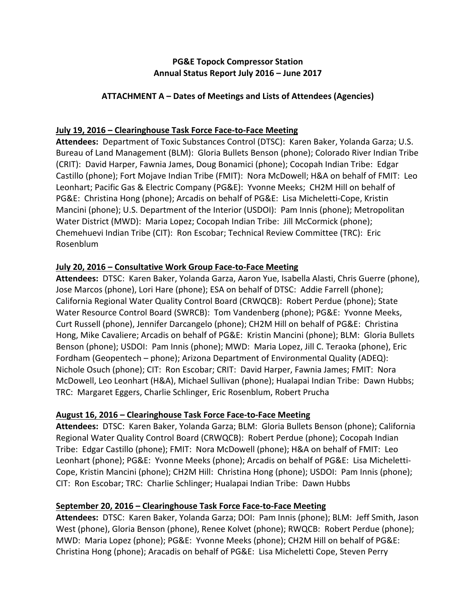# **PG&E Topock Compressor Station Annual Status Report July 2016 – June 2017**

# **ATTACHMENT A – Dates of Meetings and Lists of Attendees (Agencies)**

# **July 19, 2016 – Clearinghouse Task Force Face‐to‐Face Meeting**

Attendees: Department of Toxic Substances Control (DTSC): Karen Baker, Yolanda Garza; U.S. Bureau of Land Management (BLM): Gloria Bullets Benson (phone); Colorado River Indian Tribe (CRIT): David Harper, Fawnia James, Doug Bonamici (phone); Cocopah Indian Tribe: Edgar Castillo (phone); Fort Mojave Indian Tribe (FMIT): Nora McDowell; H&A on behalf of FMIT: Leo Leonhart; Pacific Gas & Electric Company (PG&E): Yvonne Meeks; CH2M Hill on behalf of PG&E: Christina Hong (phone); Arcadis on behalf of PG&E: Lisa Micheletti‐Cope, Kristin Mancini (phone); U.S. Department of the Interior (USDOI): Pam Innis (phone); Metropolitan Water District (MWD): Maria Lopez; Cocopah Indian Tribe: Jill McCormick (phone); Chemehuevi Indian Tribe (CIT): Ron Escobar; Technical Review Committee (TRC): Eric Rosenblum

# **July 20, 2016 – Consultative Work Group Face‐to‐Face Meeting**

Attendees: DTSC: Karen Baker, Yolanda Garza, Aaron Yue, Isabella Alasti, Chris Guerre (phone), Jose Marcos (phone), Lori Hare (phone); ESA on behalf of DTSC: Addie Farrell (phone); California Regional Water Quality Control Board (CRWQCB): Robert Perdue (phone); State Water Resource Control Board (SWRCB): Tom Vandenberg (phone); PG&E: Yvonne Meeks, Curt Russell (phone), Jennifer Darcangelo (phone); CH2M Hill on behalf of PG&E: Christina Hong, Mike Cavaliere; Arcadis on behalf of PG&E: Kristin Mancini (phone); BLM: Gloria Bullets Benson (phone); USDOI: Pam Innis (phone); MWD: Maria Lopez, Jill C. Teraoka (phone), Eric Fordham (Geopentech – phone); Arizona Department of Environmental Quality (ADEQ): Nichole Osuch (phone); CIT: Ron Escobar; CRIT: David Harper, Fawnia James; FMIT: Nora McDowell, Leo Leonhart (H&A), Michael Sullivan (phone); Hualapai Indian Tribe: Dawn Hubbs; TRC: Margaret Eggers, Charlie Schlinger, Eric Rosenblum, Robert Prucha

# **August 16, 2016 – Clearinghouse Task Force Face‐to‐Face Meeting**

**Attendees:** DTSC: Karen Baker, Yolanda Garza; BLM: Gloria Bullets Benson (phone); California Regional Water Quality Control Board (CRWQCB): Robert Perdue (phone); Cocopah Indian Tribe: Edgar Castillo (phone); FMIT: Nora McDowell (phone); H&A on behalf of FMIT: Leo Leonhart (phone); PG&E: Yvonne Meeks (phone); Arcadis on behalf of PG&E: Lisa Micheletti‐ Cope, Kristin Mancini (phone); CH2M Hill: Christina Hong (phone); USDOI: Pam Innis (phone); CIT: Ron Escobar; TRC: Charlie Schlinger; Hualapai Indian Tribe: Dawn Hubbs

# **September 20, 2016 – Clearinghouse Task Force Face‐to‐Face Meeting**

Attendees: DTSC: Karen Baker, Yolanda Garza; DOI: Pam Innis (phone); BLM: Jeff Smith, Jason West (phone), Gloria Benson (phone), Renee Kolvet (phone); RWQCB: Robert Perdue (phone); MWD: Maria Lopez (phone); PG&E: Yvonne Meeks (phone); CH2M Hill on behalf of PG&E: Christina Hong (phone); Aracadis on behalf of PG&E: Lisa Micheletti Cope, Steven Perry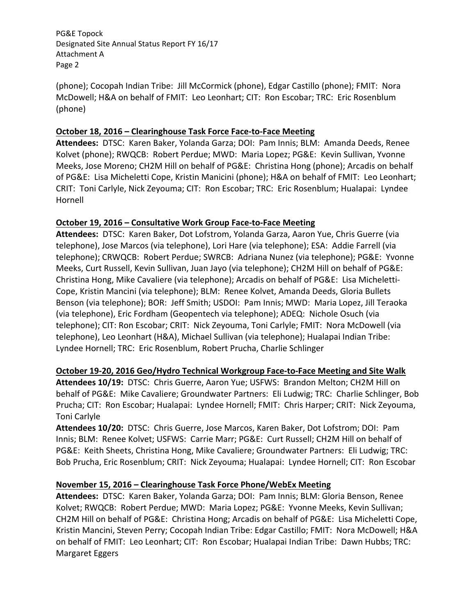PG&E Topock Designated Site Annual Status Report FY 16/17 Attachment A Page 2

(phone); Cocopah Indian Tribe: Jill McCormick (phone), Edgar Castillo (phone); FMIT: Nora McDowell; H&A on behalf of FMIT: Leo Leonhart; CIT: Ron Escobar; TRC: Eric Rosenblum (phone)

### **October 18, 2016 – Clearinghouse Task Force Face‐to‐Face Meeting**

**Attendees:** DTSC: Karen Baker, Yolanda Garza; DOI: Pam Innis; BLM: Amanda Deeds, Renee Kolvet (phone); RWQCB: Robert Perdue; MWD: Maria Lopez; PG&E: Kevin Sullivan, Yvonne Meeks, Jose Moreno; CH2M Hill on behalf of PG&E: Christina Hong (phone); Arcadis on behalf of PG&E: Lisa Micheletti Cope, Kristin Manicini (phone); H&A on behalf of FMIT: Leo Leonhart; CRIT: Toni Carlyle, Nick Zeyouma; CIT: Ron Escobar; TRC: Eric Rosenblum; Hualapai: Lyndee Hornell

# **October 19, 2016 – Consultative Work Group Face‐to‐Face Meeting**

**Attendees:** DTSC: Karen Baker, Dot Lofstrom, Yolanda Garza, Aaron Yue, Chris Guerre (via telephone), Jose Marcos (via telephone), Lori Hare (via telephone); ESA: Addie Farrell (via telephone); CRWQCB: Robert Perdue; SWRCB: Adriana Nunez (via telephone); PG&E: Yvonne Meeks, Curt Russell, Kevin Sullivan, Juan Jayo (via telephone); CH2M Hill on behalf of PG&E: Christina Hong, Mike Cavaliere (via telephone); Arcadis on behalf of PG&E: Lisa Micheletti‐ Cope, Kristin Mancini (via telephone); BLM: Renee Kolvet, Amanda Deeds, Gloria Bullets Benson (via telephone); BOR: Jeff Smith; USDOI: Pam Innis; MWD: Maria Lopez, Jill Teraoka (via telephone), Eric Fordham (Geopentech via telephone); ADEQ: Nichole Osuch (via telephone); CIT: Ron Escobar; CRIT: Nick Zeyouma, Toni Carlyle; FMIT: Nora McDowell (via telephone), Leo Leonhart (H&A), Michael Sullivan (via telephone); Hualapai Indian Tribe: Lyndee Hornell; TRC: Eric Rosenblum, Robert Prucha, Charlie Schlinger

# **October 19‐20, 2016 Geo/Hydro Technical Workgroup Face‐to‐Face Meeting and Site Walk**

Attendees 10/19: DTSC: Chris Guerre, Aaron Yue; USFWS: Brandon Melton; CH2M Hill on behalf of PG&E: Mike Cavaliere; Groundwater Partners: Eli Ludwig; TRC: Charlie Schlinger, Bob Prucha; CIT: Ron Escobar; Hualapai: Lyndee Hornell; FMIT: Chris Harper; CRIT: Nick Zeyouma, Toni Carlyle

**Attendees 10/20:** DTSC: Chris Guerre, Jose Marcos, Karen Baker, Dot Lofstrom; DOI: Pam Innis; BLM: Renee Kolvet; USFWS: Carrie Marr; PG&E: Curt Russell; CH2M Hill on behalf of PG&E: Keith Sheets, Christina Hong, Mike Cavaliere; Groundwater Partners: Eli Ludwig; TRC: Bob Prucha, Eric Rosenblum; CRIT: Nick Zeyouma; Hualapai: Lyndee Hornell; CIT: Ron Escobar

# **November 15, 2016 – Clearinghouse Task Force Phone/WebEx Meeting**

Attendees: DTSC: Karen Baker, Yolanda Garza; DOI: Pam Innis; BLM: Gloria Benson, Renee Kolvet; RWQCB: Robert Perdue; MWD: Maria Lopez; PG&E: Yvonne Meeks, Kevin Sullivan; CH2M Hill on behalf of PG&E: Christina Hong; Arcadis on behalf of PG&E: Lisa Micheletti Cope, Kristin Mancini, Steven Perry; Cocopah Indian Tribe: Edgar Castillo; FMIT: Nora McDowell; H&A on behalf of FMIT: Leo Leonhart; CIT: Ron Escobar; Hualapai Indian Tribe: Dawn Hubbs; TRC: Margaret Eggers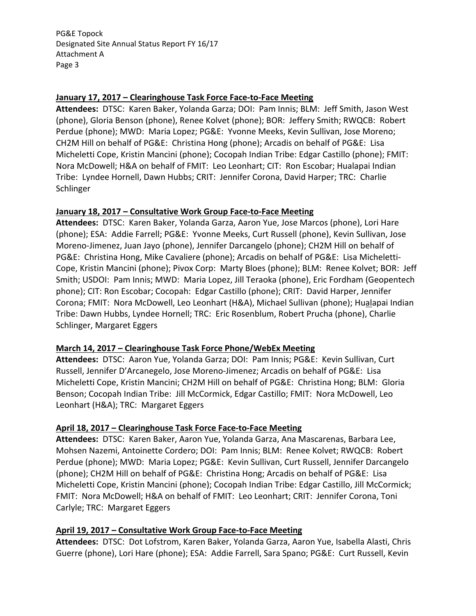PG&E Topock Designated Site Annual Status Report FY 16/17 Attachment A Page 3

#### **January 17, 2017 – Clearinghouse Task Force Face‐to‐Face Meeting**

**Attendees:** DTSC: Karen Baker, Yolanda Garza; DOI: Pam Innis; BLM: Jeff Smith, Jason West (phone), Gloria Benson (phone), Renee Kolvet (phone); BOR: Jeffery Smith; RWQCB: Robert Perdue (phone); MWD: Maria Lopez; PG&E: Yvonne Meeks, Kevin Sullivan, Jose Moreno; CH2M Hill on behalf of PG&E: Christina Hong (phone); Arcadis on behalf of PG&E: Lisa Micheletti Cope, Kristin Mancini (phone); Cocopah Indian Tribe: Edgar Castillo (phone); FMIT: Nora McDowell; H&A on behalf of FMIT: Leo Leonhart; CIT: Ron Escobar; Hualapai Indian Tribe: Lyndee Hornell, Dawn Hubbs; CRIT: Jennifer Corona, David Harper; TRC: Charlie Schlinger

### **January 18, 2017 – Consultative Work Group Face‐to‐Face Meeting**

Attendees: DTSC: Karen Baker, Yolanda Garza, Aaron Yue, Jose Marcos (phone), Lori Hare (phone); ESA: Addie Farrell; PG&E: Yvonne Meeks, Curt Russell (phone), Kevin Sullivan, Jose Moreno‐Jimenez, Juan Jayo (phone), Jennifer Darcangelo (phone); CH2M Hill on behalf of PG&E: Christina Hong, Mike Cavaliere (phone); Arcadis on behalf of PG&E: Lisa Micheletti‐ Cope, Kristin Mancini (phone); Pivox Corp: Marty Bloes (phone); BLM: Renee Kolvet; BOR: Jeff Smith; USDOI: Pam Innis; MWD: Maria Lopez, Jill Teraoka (phone), Eric Fordham (Geopentech phone); CIT: Ron Escobar; Cocopah: Edgar Castillo (phone); CRIT: David Harper, Jennifer Corona; FMIT: Nora McDowell, Leo Leonhart (H&A), Michael Sullivan (phone); Hualapai Indian Tribe: Dawn Hubbs, Lyndee Hornell; TRC: Eric Rosenblum, Robert Prucha (phone), Charlie Schlinger, Margaret Eggers

# **March 14, 2017 – Clearinghouse Task Force Phone/WebEx Meeting**

Attendees: DTSC: Aaron Yue, Yolanda Garza; DOI: Pam Innis; PG&E: Kevin Sullivan, Curt Russell, Jennifer D'Arcanegelo, Jose Moreno‐Jimenez; Arcadis on behalf of PG&E: Lisa Micheletti Cope, Kristin Mancini; CH2M Hill on behalf of PG&E: Christina Hong; BLM: Gloria Benson; Cocopah Indian Tribe: Jill McCormick, Edgar Castillo; FMIT: Nora McDowell, Leo Leonhart (H&A); TRC: Margaret Eggers

# **April 18, 2017 – Clearinghouse Task Force Face‐to‐Face Meeting**

Attendees: DTSC: Karen Baker, Aaron Yue, Yolanda Garza, Ana Mascarenas, Barbara Lee, Mohsen Nazemi, Antoinette Cordero; DOI: Pam Innis; BLM: Renee Kolvet; RWQCB: Robert Perdue (phone); MWD: Maria Lopez; PG&E: Kevin Sullivan, Curt Russell, Jennifer Darcangelo (phone); CH2M Hill on behalf of PG&E: Christina Hong; Arcadis on behalf of PG&E: Lisa Micheletti Cope, Kristin Mancini (phone); Cocopah Indian Tribe: Edgar Castillo, Jill McCormick; FMIT: Nora McDowell; H&A on behalf of FMIT: Leo Leonhart; CRIT: Jennifer Corona, Toni Carlyle; TRC: Margaret Eggers

# **April 19, 2017 – Consultative Work Group Face‐to‐Face Meeting**

**Attendees:** DTSC: Dot Lofstrom, Karen Baker, Yolanda Garza, Aaron Yue, Isabella Alasti, Chris Guerre (phone), Lori Hare (phone); ESA: Addie Farrell, Sara Spano; PG&E: Curt Russell, Kevin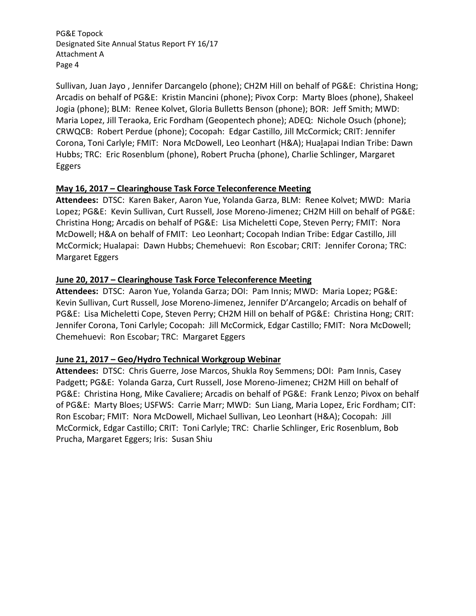PG&E Topock Designated Site Annual Status Report FY 16/17 Attachment A Page 4

Sullivan, Juan Jayo , Jennifer Darcangelo (phone); CH2M Hill on behalf of PG&E: Christina Hong; Arcadis on behalf of PG&E: Kristin Mancini (phone); Pivox Corp: Marty Bloes (phone), Shakeel Jogia (phone); BLM: Renee Kolvet, Gloria Bulletts Benson (phone); BOR: Jeff Smith; MWD: Maria Lopez, Jill Teraoka, Eric Fordham (Geopentech phone); ADEQ: Nichole Osuch (phone); CRWQCB: Robert Perdue (phone); Cocopah: Edgar Castillo, Jill McCormick; CRIT: Jennifer Corona, Toni Carlyle; FMIT: Nora McDowell, Leo Leonhart (H&A); Hualapai Indian Tribe: Dawn Hubbs; TRC: Eric Rosenblum (phone), Robert Prucha (phone), Charlie Schlinger, Margaret Eggers

# **May 16, 2017 – Clearinghouse Task Force Teleconference Meeting**

Attendees: DTSC: Karen Baker, Aaron Yue, Yolanda Garza, BLM: Renee Kolvet; MWD: Maria Lopez; PG&E: Kevin Sullivan, Curt Russell, Jose Moreno‐Jimenez; CH2M Hill on behalf of PG&E: Christina Hong; Arcadis on behalf of PG&E: Lisa Micheletti Cope, Steven Perry; FMIT: Nora McDowell; H&A on behalf of FMIT: Leo Leonhart; Cocopah Indian Tribe: Edgar Castillo, Jill McCormick; Hualapai: Dawn Hubbs; Chemehuevi: Ron Escobar; CRIT: Jennifer Corona; TRC: Margaret Eggers

# **June 20, 2017 – Clearinghouse Task Force Teleconference Meeting**

Attendees: DTSC: Aaron Yue, Yolanda Garza; DOI: Pam Innis; MWD: Maria Lopez; PG&E: Kevin Sullivan, Curt Russell, Jose Moreno‐Jimenez, Jennifer D'Arcangelo; Arcadis on behalf of PG&E: Lisa Micheletti Cope, Steven Perry; CH2M Hill on behalf of PG&E: Christina Hong; CRIT: Jennifer Corona, Toni Carlyle; Cocopah: Jill McCormick, Edgar Castillo; FMIT: Nora McDowell; Chemehuevi: Ron Escobar; TRC: Margaret Eggers

# **June 21, 2017 – Geo/Hydro Technical Workgroup Webinar**

Attendees: DTSC: Chris Guerre, Jose Marcos, Shukla Roy Semmens; DOI: Pam Innis, Casey Padgett; PG&E: Yolanda Garza, Curt Russell, Jose Moreno‐Jimenez; CH2M Hill on behalf of PG&E: Christina Hong, Mike Cavaliere; Arcadis on behalf of PG&E: Frank Lenzo; Pivox on behalf of PG&E: Marty Bloes; USFWS: Carrie Marr; MWD: Sun Liang, Maria Lopez, Eric Fordham; CIT: Ron Escobar; FMIT: Nora McDowell, Michael Sullivan, Leo Leonhart (H&A); Cocopah: Jill McCormick, Edgar Castillo; CRIT: Toni Carlyle; TRC: Charlie Schlinger, Eric Rosenblum, Bob Prucha, Margaret Eggers; Iris: Susan Shiu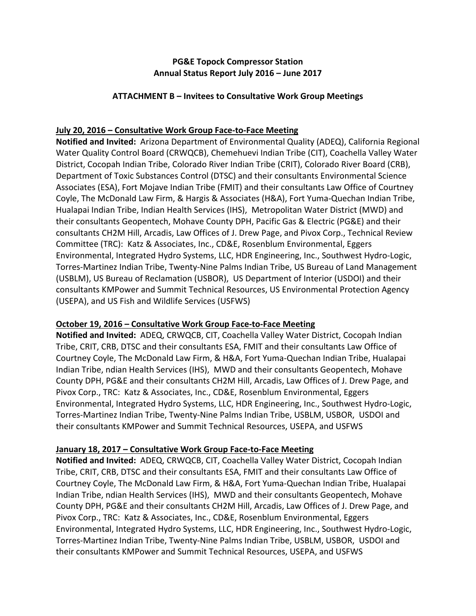# **PG&E Topock Compressor Station Annual Status Report July 2016 – June 2017**

### **ATTACHMENT B – Invitees to Consultative Work Group Meetings**

# **July 20, 2016 – Consultative Work Group Face‐to‐Face Meeting**

**Notified and Invited:** Arizona Department of Environmental Quality (ADEQ), California Regional Water Quality Control Board (CRWQCB), Chemehuevi Indian Tribe (CIT), Coachella Valley Water District, Cocopah Indian Tribe, Colorado River Indian Tribe (CRIT), Colorado River Board (CRB), Department of Toxic Substances Control (DTSC) and their consultants Environmental Science Associates (ESA), Fort Mojave Indian Tribe (FMIT) and their consultants Law Office of Courtney Coyle, The McDonald Law Firm, & Hargis & Associates (H&A), Fort Yuma‐Quechan Indian Tribe, Hualapai Indian Tribe, Indian Health Services (IHS), Metropolitan Water District (MWD) and their consultants Geopentech, Mohave County DPH, Pacific Gas & Electric (PG&E) and their consultants CH2M Hill, Arcadis, Law Offices of J. Drew Page, and Pivox Corp., Technical Review Committee (TRC): Katz & Associates, Inc., CD&E, Rosenblum Environmental, Eggers Environmental, Integrated Hydro Systems, LLC, HDR Engineering, Inc., Southwest Hydro‐Logic, Torres‐Martinez Indian Tribe, Twenty‐Nine Palms Indian Tribe, US Bureau of Land Management (USBLM), US Bureau of Reclamation (USBOR), US Department of Interior (USDOI) and their consultants KMPower and Summit Technical Resources, US Environmental Protection Agency (USEPA), and US Fish and Wildlife Services (USFWS)

# **October 19, 2016 – Consultative Work Group Face‐to‐Face Meeting**

**Notified and Invited:** ADEQ, CRWQCB, CIT, Coachella Valley Water District, Cocopah Indian Tribe, CRIT, CRB, DTSC and their consultants ESA, FMIT and their consultants Law Office of Courtney Coyle, The McDonald Law Firm, & H&A, Fort Yuma‐Quechan Indian Tribe, Hualapai Indian Tribe, ndian Health Services (IHS), MWD and their consultants Geopentech, Mohave County DPH, PG&E and their consultants CH2M Hill, Arcadis, Law Offices of J. Drew Page, and Pivox Corp., TRC: Katz & Associates, Inc., CD&E, Rosenblum Environmental, Eggers Environmental, Integrated Hydro Systems, LLC, HDR Engineering, Inc., Southwest Hydro‐Logic, Torres‐Martinez Indian Tribe, Twenty‐Nine Palms Indian Tribe, USBLM, USBOR, USDOI and their consultants KMPower and Summit Technical Resources, USEPA, and USFWS

# **January 18, 2017 – Consultative Work Group Face‐to‐Face Meeting**

**Notified and Invited:** ADEQ, CRWQCB, CIT, Coachella Valley Water District, Cocopah Indian Tribe, CRIT, CRB, DTSC and their consultants ESA, FMIT and their consultants Law Office of Courtney Coyle, The McDonald Law Firm, & H&A, Fort Yuma‐Quechan Indian Tribe, Hualapai Indian Tribe, ndian Health Services (IHS), MWD and their consultants Geopentech, Mohave County DPH, PG&E and their consultants CH2M Hill, Arcadis, Law Offices of J. Drew Page, and Pivox Corp., TRC: Katz & Associates, Inc., CD&E, Rosenblum Environmental, Eggers Environmental, Integrated Hydro Systems, LLC, HDR Engineering, Inc., Southwest Hydro‐Logic, Torres‐Martinez Indian Tribe, Twenty‐Nine Palms Indian Tribe, USBLM, USBOR, USDOI and their consultants KMPower and Summit Technical Resources, USEPA, and USFWS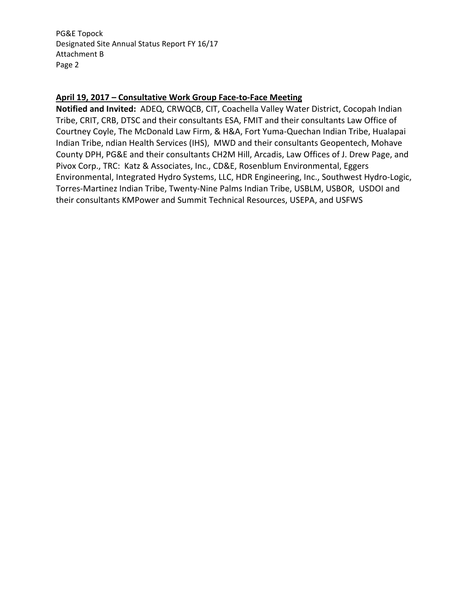PG&E Topock Designated Site Annual Status Report FY 16/17 Attachment B Page 2

### **April 19, 2017 – Consultative Work Group Face‐to‐Face Meeting**

**Notified and Invited:** ADEQ, CRWQCB, CIT, Coachella Valley Water District, Cocopah Indian Tribe, CRIT, CRB, DTSC and their consultants ESA, FMIT and their consultants Law Office of Courtney Coyle, The McDonald Law Firm, & H&A, Fort Yuma‐Quechan Indian Tribe, Hualapai Indian Tribe, ndian Health Services (IHS), MWD and their consultants Geopentech, Mohave County DPH, PG&E and their consultants CH2M Hill, Arcadis, Law Offices of J. Drew Page, and Pivox Corp., TRC: Katz & Associates, Inc., CD&E, Rosenblum Environmental, Eggers Environmental, Integrated Hydro Systems, LLC, HDR Engineering, Inc., Southwest Hydro‐Logic, Torres‐Martinez Indian Tribe, Twenty‐Nine Palms Indian Tribe, USBLM, USBOR, USDOI and their consultants KMPower and Summit Technical Resources, USEPA, and USFWS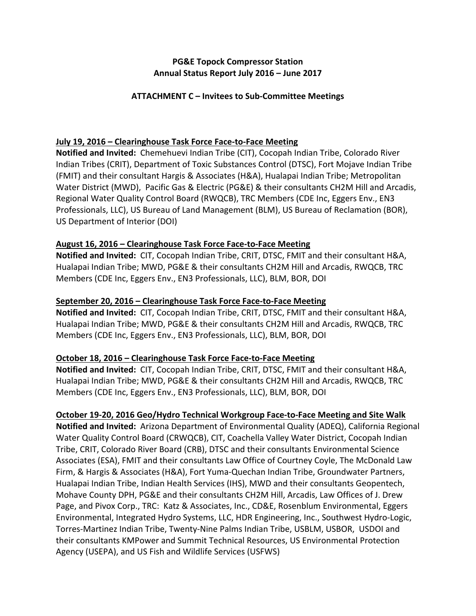# **PG&E Topock Compressor Station Annual Status Report July 2016 – June 2017**

### **ATTACHMENT C – Invitees to Sub‐Committee Meetings**

### **July 19, 2016 – Clearinghouse Task Force Face‐to‐Face Meeting**

**Notified and Invited:** Chemehuevi Indian Tribe (CIT), Cocopah Indian Tribe, Colorado River Indian Tribes (CRIT), Department of Toxic Substances Control (DTSC), Fort Mojave Indian Tribe (FMIT) and their consultant Hargis & Associates (H&A), Hualapai Indian Tribe; Metropolitan Water District (MWD), Pacific Gas & Electric (PG&E) & their consultants CH2M Hill and Arcadis, Regional Water Quality Control Board (RWQCB), TRC Members (CDE Inc, Eggers Env., EN3 Professionals, LLC), US Bureau of Land Management (BLM), US Bureau of Reclamation (BOR), US Department of Interior (DOI)

### **August 16, 2016 – Clearinghouse Task Force Face‐to‐Face Meeting**

**Notified and Invited:** CIT, Cocopah Indian Tribe, CRIT, DTSC, FMIT and their consultant H&A, Hualapai Indian Tribe; MWD, PG&E & their consultants CH2M Hill and Arcadis, RWQCB, TRC Members (CDE Inc, Eggers Env., EN3 Professionals, LLC), BLM, BOR, DOI

### **September 20, 2016 – Clearinghouse Task Force Face‐to‐Face Meeting**

**Notified and Invited:** CIT, Cocopah Indian Tribe, CRIT, DTSC, FMIT and their consultant H&A, Hualapai Indian Tribe; MWD, PG&E & their consultants CH2M Hill and Arcadis, RWQCB, TRC Members (CDE Inc, Eggers Env., EN3 Professionals, LLC), BLM, BOR, DOI

# **October 18, 2016 – Clearinghouse Task Force Face‐to‐Face Meeting**

**Notified and Invited:** CIT, Cocopah Indian Tribe, CRIT, DTSC, FMIT and their consultant H&A, Hualapai Indian Tribe; MWD, PG&E & their consultants CH2M Hill and Arcadis, RWQCB, TRC Members (CDE Inc, Eggers Env., EN3 Professionals, LLC), BLM, BOR, DOI

#### **October 19‐20, 2016 Geo/Hydro Technical Workgroup Face‐to‐Face Meeting and Site Walk**

**Notified and Invited:** Arizona Department of Environmental Quality (ADEQ), California Regional Water Quality Control Board (CRWQCB), CIT, Coachella Valley Water District, Cocopah Indian Tribe, CRIT, Colorado River Board (CRB), DTSC and their consultants Environmental Science Associates (ESA), FMIT and their consultants Law Office of Courtney Coyle, The McDonald Law Firm, & Hargis & Associates (H&A), Fort Yuma‐Quechan Indian Tribe, Groundwater Partners, Hualapai Indian Tribe, Indian Health Services (IHS), MWD and their consultants Geopentech, Mohave County DPH, PG&E and their consultants CH2M Hill, Arcadis, Law Offices of J. Drew Page, and Pivox Corp., TRC: Katz & Associates, Inc., CD&E, Rosenblum Environmental, Eggers Environmental, Integrated Hydro Systems, LLC, HDR Engineering, Inc., Southwest Hydro‐Logic, Torres‐Martinez Indian Tribe, Twenty‐Nine Palms Indian Tribe, USBLM, USBOR, USDOI and their consultants KMPower and Summit Technical Resources, US Environmental Protection Agency (USEPA), and US Fish and Wildlife Services (USFWS)